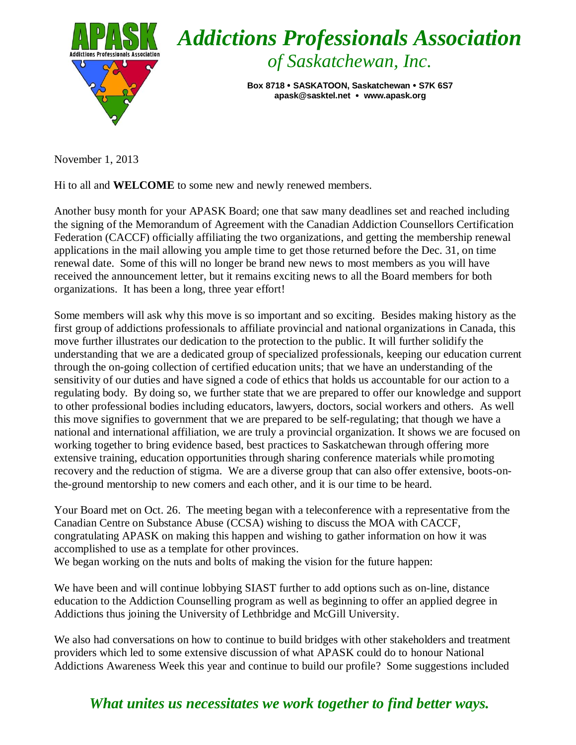

November 1, 2013

Hi to all and **WELCOME** to some new and newly renewed members.

Another busy month for your APASK Board; one that saw many deadlines set and reached including the signing of the Memorandum of Agreement with the Canadian Addiction Counsellors Certification Federation (CACCF) officially affiliating the two organizations, and getting the membership renewal applications in the mail allowing you ample time to get those returned before the Dec. 31, on time renewal date. Some of this will no longer be brand new news to most members as you will have received the announcement letter, but it remains exciting news to all the Board members for both organizations. It has been a long, three year effort!

Some members will ask why this move is so important and so exciting. Besides making history as the first group of addictions professionals to affiliate provincial and national organizations in Canada, this move further illustrates our dedication to the protection to the public. It will further solidify the understanding that we are a dedicated group of specialized professionals, keeping our education current through the on-going collection of certified education units; that we have an understanding of the sensitivity of our duties and have signed a code of ethics that holds us accountable for our action to a regulating body. By doing so, we further state that we are prepared to offer our knowledge and support to other professional bodies including educators, lawyers, doctors, social workers and others. As well this move signifies to government that we are prepared to be self-regulating; that though we have a national and international affiliation, we are truly a provincial organization. It shows we are focused on working together to bring evidence based, best practices to Saskatchewan through offering more extensive training, education opportunities through sharing conference materials while promoting recovery and the reduction of stigma. We are a diverse group that can also offer extensive, boots-onthe-ground mentorship to new comers and each other, and it is our time to be heard.

Your Board met on Oct. 26. The meeting began with a teleconference with a representative from the Canadian Centre on Substance Abuse (CCSA) wishing to discuss the MOA with CACCF, congratulating APASK on making this happen and wishing to gather information on how it was accomplished to use as a template for other provinces. We began working on the nuts and bolts of making the vision for the future happen:

We have been and will continue lobbying SIAST further to add options such as on-line, distance education to the Addiction Counselling program as well as beginning to offer an applied degree in Addictions thus joining the University of Lethbridge and McGill University.

We also had conversations on how to continue to build bridges with other stakeholders and treatment providers which led to some extensive discussion of what APASK could do to honour National Addictions Awareness Week this year and continue to build our profile? Some suggestions included

## *What unites us necessitates we work together to find better ways.*